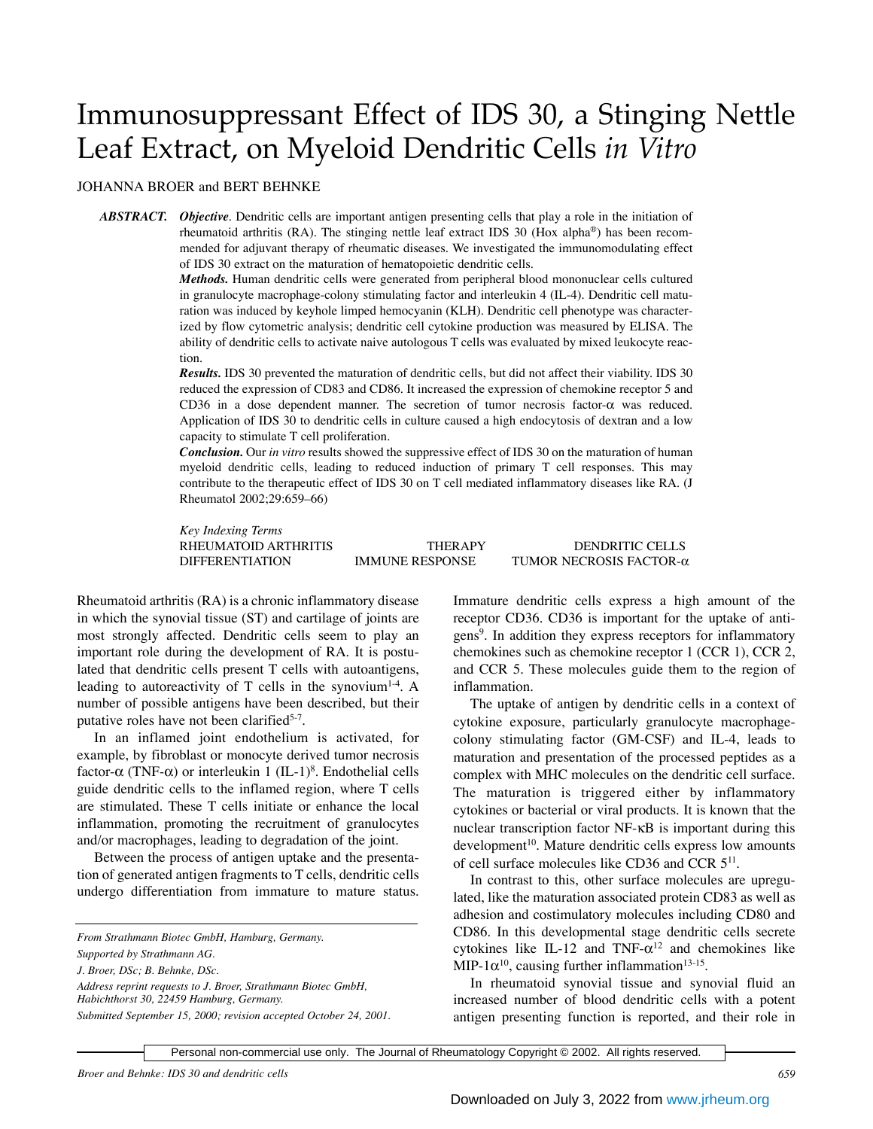# Immunosuppressant Effect of IDS 30, a Stinging Nettle Leaf Extract, on Myeloid Dendritic Cells *in Vitro*

## JOHANNA BROER and BERT BEHNKE

*ABSTRACT. Objective.* Dendritic cells are important antigen presenting cells that play a role in the initiation of rheumatoid arthritis (RA). The stinging nettle leaf extract IDS 30 (Hox alpha®) has been recommended for adjuvant therapy of rheumatic diseases. We investigated the immunomodulating effect of IDS 30 extract on the maturation of hematopoietic dendritic cells.

> *Methods.* Human dendritic cells were generated from peripheral blood mononuclear cells cultured in granulocyte macrophage-colony stimulating factor and interleukin 4 (IL-4). Dendritic cell maturation was induced by keyhole limped hemocyanin (KLH). Dendritic cell phenotype was characterized by flow cytometric analysis; dendritic cell cytokine production was measured by ELISA. The ability of dendritic cells to activate naive autologous T cells was evaluated by mixed leukocyte reaction.

> *Results.* IDS 30 prevented the maturation of dendritic cells, but did not affect their viability. IDS 30 reduced the expression of CD83 and CD86. It increased the expression of chemokine receptor 5 and CD36 in a dose dependent manner. The secretion of tumor necrosis factor-α was reduced. Application of IDS 30 to dendritic cells in culture caused a high endocytosis of dextran and a low capacity to stimulate T cell proliferation.

> *Conclusion.* Our *in vitro* results showed the suppressive effect of IDS 30 on the maturation of human myeloid dendritic cells, leading to reduced induction of primary T cell responses. This may contribute to the therapeutic effect of IDS 30 on T cell mediated inflammatory diseases like RA. (J Rheumatol 2002;29:659–66)

> *Key Indexing Terms* RHEUMATOID ARTHRITIS THERAPY DENDRITIC CELLS DIFFERENTIATION IMMUNE RESPONSE TUMOR NECROSIS FACTOR-α

Rheumatoid arthritis (RA) is a chronic inflammatory disease in which the synovial tissue (ST) and cartilage of joints are most strongly affected. Dendritic cells seem to play an important role during the development of RA. It is postulated that dendritic cells present T cells with autoantigens, leading to autoreactivity of  $T$  cells in the synovium<sup>1-4</sup>. A number of possible antigens have been described, but their putative roles have not been clarified<sup>5-7</sup>.

In an inflamed joint endothelium is activated, for example, by fibroblast or monocyte derived tumor necrosis factor-α (TNF-α) or interleukin 1 (IL-1)8 . Endothelial cells guide dendritic cells to the inflamed region, where T cells are stimulated. These T cells initiate or enhance the local inflammation, promoting the recruitment of granulocytes and/or macrophages, leading to degradation of the joint.

Between the process of antigen uptake and the presentation of generated antigen fragments to T cells, dendritic cells undergo differentiation from immature to mature status.

Immature dendritic cells express a high amount of the receptor CD36. CD36 is important for the uptake of antigens<sup>9</sup>. In addition they express receptors for inflammatory chemokines such as chemokine receptor 1 (CCR 1), CCR 2, and CCR 5. These molecules guide them to the region of inflammation.

The uptake of antigen by dendritic cells in a context of cytokine exposure, particularly granulocyte macrophagecolony stimulating factor (GM-CSF) and IL-4, leads to maturation and presentation of the processed peptides as a complex with MHC molecules on the dendritic cell surface. The maturation is triggered either by inflammatory cytokines or bacterial or viral products. It is known that the nuclear transcription factor NF-κB is important during this development<sup>10</sup>. Mature dendritic cells express low amounts of cell surface molecules like CD36 and CCR 5<sup>11</sup>.

In contrast to this, other surface molecules are upregulated, like the maturation associated protein CD83 as well as adhesion and costimulatory molecules including CD80 and CD86. In this developmental stage dendritic cells secrete cytokines like IL-12 and TNF- $\alpha^{12}$  and chemokines like MIP-1 $\alpha^{10}$ , causing further inflammation<sup>13-15</sup>.

In rheumatoid synovial tissue and synovial fluid an increased number of blood dendritic cells with a potent antigen presenting function is reported, and their role in

*From Strathmann Biotec GmbH, Hamburg, Germany.*

*Supported by Strathmann AG.*

*J. Broer, DSc; B. Behnke, DSc.*

*Address reprint requests to J. Broer, Strathmann Biotec GmbH, Habichthorst 30, 22459 Hamburg, Germany.*

*Submitted September 15, 2000; revision accepted October 24, 2001.*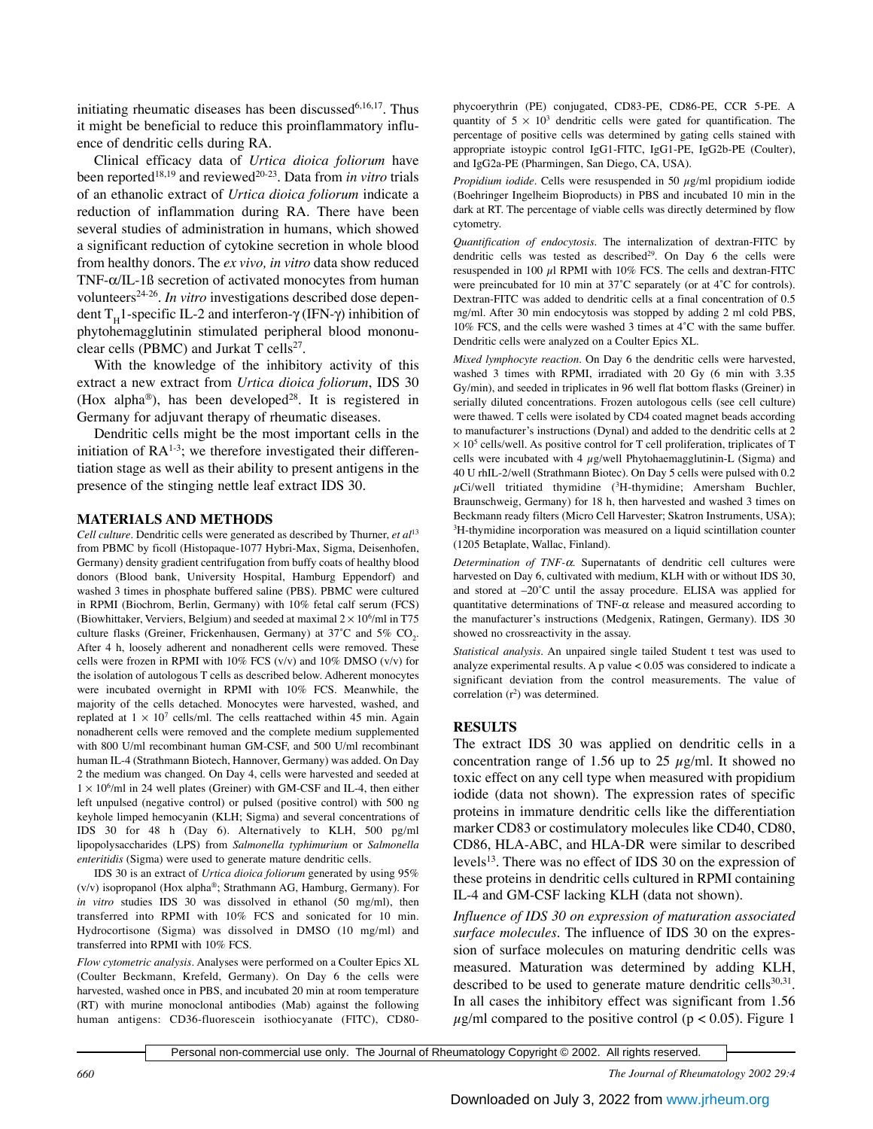initiating rheumatic diseases has been discussed $6,16,17$ . Thus it might be beneficial to reduce this proinflammatory influence of dendritic cells during RA.

Clinical efficacy data of *Urtica dioica foliorum* have been reported<sup>18,19</sup> and reviewed<sup>20-23</sup>. Data from *in vitro* trials of an ethanolic extract of *Urtica dioica foliorum* indicate a reduction of inflammation during RA. There have been several studies of administration in humans, which showed a significant reduction of cytokine secretion in whole blood from healthy donors. The *ex vivo, in vitro* data show reduced TNF-α/IL-1ß secretion of activated monocytes from human volunteers<sup>24-26</sup>. *In vitro* investigations described dose dependent T<sub>H</sub>1-specific IL-2 and interferon-γ (IFN-γ) inhibition of phytohemagglutinin stimulated peripheral blood mononuclear cells (PBMC) and Jurkat T cells<sup>27</sup>.

With the knowledge of the inhibitory activity of this extract a new extract from *Urtica dioica foliorum*, IDS 30 (Hox alpha®), has been developed<sup>28</sup>. It is registered in Germany for adjuvant therapy of rheumatic diseases.

Dendritic cells might be the most important cells in the initiation of  $RA^{1-3}$ ; we therefore investigated their differentiation stage as well as their ability to present antigens in the presence of the stinging nettle leaf extract IDS 30.

### **MATERIALS AND METHODS**

*Cell culture.* Dendritic cells were generated as described by Thurner, *et al*<sup>13</sup> from PBMC by ficoll (Histopaque-1077 Hybri-Max, Sigma, Deisenhofen, Germany) density gradient centrifugation from buffy coats of healthy blood donors (Blood bank, University Hospital, Hamburg Eppendorf) and washed 3 times in phosphate buffered saline (PBS). PBMC were cultured in RPMI (Biochrom, Berlin, Germany) with 10% fetal calf serum (FCS) (Biowhittaker, Verviers, Belgium) and seeded at maximal  $2 \times 10^6$ /ml in T75 culture flasks (Greiner, Frickenhausen, Germany) at 37°C and 5%  $\mathrm{CO}_{2}$ . After 4 h, loosely adherent and nonadherent cells were removed. These cells were frozen in RPMI with  $10\%$  FCS (v/v) and  $10\%$  DMSO (v/v) for the isolation of autologous T cells as described below. Adherent monocytes were incubated overnight in RPMI with 10% FCS. Meanwhile, the majority of the cells detached. Monocytes were harvested, washed, and replated at  $1 \times 10^7$  cells/ml. The cells reattached within 45 min. Again nonadherent cells were removed and the complete medium supplemented with 800 U/ml recombinant human GM-CSF, and 500 U/ml recombinant human IL-4 (Strathmann Biotech, Hannover, Germany) was added. On Day 2 the medium was changed. On Day 4, cells were harvested and seeded at  $1 \times 10^6$ /ml in 24 well plates (Greiner) with GM-CSF and IL-4, then either left unpulsed (negative control) or pulsed (positive control) with 500 ng keyhole limped hemocyanin (KLH; Sigma) and several concentrations of IDS 30 for 48 h (Day 6). Alternatively to KLH, 500 pg/ml lipopolysaccharides (LPS) from *Salmonella typhimurium* or *Salmonella enteritidis* (Sigma) were used to generate mature dendritic cells.

IDS 30 is an extract of *Urtica dioica foliorum* generated by using 95% (v/v) isopropanol (Hox alpha®; Strathmann AG, Hamburg, Germany). For *in vitro* studies IDS 30 was dissolved in ethanol (50 mg/ml), then transferred into RPMI with 10% FCS and sonicated for 10 min. Hydrocortisone (Sigma) was dissolved in DMSO (10 mg/ml) and transferred into RPMI with 10% FCS.

*Flow cytometric analysis.* Analyses were performed on a Coulter Epics XL (Coulter Beckmann, Krefeld, Germany). On Day 6 the cells were harvested, washed once in PBS, and incubated 20 min at room temperature (RT) with murine monoclonal antibodies (Mab) against the following human antigens: CD36-fluorescein isothiocyanate (FITC), CD80phycoerythrin (PE) conjugated, CD83-PE, CD86-PE, CCR 5-PE. A quantity of  $5 \times 10^3$  dendritic cells were gated for quantification. The percentage of positive cells was determined by gating cells stained with appropriate istoypic control IgG1-FITC, IgG1-PE, IgG2b-PE (Coulter), and IgG2a-PE (Pharmingen, San Diego, CA, USA).

*Propidium iodide.* Cells were resuspended in 50 µg/ml propidium iodide (Boehringer Ingelheim Bioproducts) in PBS and incubated 10 min in the dark at RT. The percentage of viable cells was directly determined by flow cytometry.

*Quantification of endocytosis.* The internalization of dextran-FITC by dendritic cells was tested as described<sup>29</sup>. On Day 6 the cells were resuspended in 100  $\mu$ l RPMI with 10% FCS. The cells and dextran-FITC were preincubated for 10 min at 37˚C separately (or at 4˚C for controls). Dextran-FITC was added to dendritic cells at a final concentration of 0.5 mg/ml. After 30 min endocytosis was stopped by adding 2 ml cold PBS, 10% FCS, and the cells were washed 3 times at 4˚C with the same buffer. Dendritic cells were analyzed on a Coulter Epics XL.

*Mixed lymphocyte reaction.* On Day 6 the dendritic cells were harvested, washed 3 times with RPMI, irradiated with 20 Gy (6 min with 3.35 Gy/min), and seeded in triplicates in 96 well flat bottom flasks (Greiner) in serially diluted concentrations. Frozen autologous cells (see cell culture) were thawed. T cells were isolated by CD4 coated magnet beads according to manufacturer's instructions (Dynal) and added to the dendritic cells at 2  $\times$  10<sup>5</sup> cells/well. As positive control for T cell proliferation, triplicates of T cells were incubated with 4  $\mu$ g/well Phytohaemagglutinin-L (Sigma) and 40 U rhIL-2/well (Strathmann Biotec). On Day 5 cells were pulsed with 0.2  $\mu$ Ci/well tritiated thymidine ( ${}^{3}$ H-thymidine; Amersham Buchler, Braunschweig, Germany) for 18 h, then harvested and washed 3 times on Beckmann ready filters (Micro Cell Harvester; Skatron Instruments, USA); <sup>3</sup>H-thymidine incorporation was measured on a liquid scintillation counter (1205 Betaplate, Wallac, Finland).

*Determination of TNF-*α*.* Supernatants of dendritic cell cultures were harvested on Day 6, cultivated with medium, KLH with or without IDS 30, and stored at –20˚C until the assay procedure. ELISA was applied for quantitative determinations of TNF-α release and measured according to the manufacturer's instructions (Medgenix, Ratingen, Germany). IDS 30 showed no crossreactivity in the assay.

*Statistical analysis.* An unpaired single tailed Student t test was used to analyze experimental results. A p value < 0.05 was considered to indicate a significant deviation from the control measurements. The value of correlation  $(r^2)$  was determined.

### **RESULTS**

The extract IDS 30 was applied on dendritic cells in a concentration range of 1.56 up to 25  $\mu$ g/ml. It showed no toxic effect on any cell type when measured with propidium iodide (data not shown). The expression rates of specific proteins in immature dendritic cells like the differentiation marker CD83 or costimulatory molecules like CD40, CD80, CD86, HLA-ABC, and HLA-DR were similar to described levels<sup>13</sup>. There was no effect of IDS 30 on the expression of these proteins in dendritic cells cultured in RPMI containing IL-4 and GM-CSF lacking KLH (data not shown).

*Influence of IDS 30 on expression of maturation associated surface molecules.* The influence of IDS 30 on the expression of surface molecules on maturing dendritic cells was measured. Maturation was determined by adding KLH, described to be used to generate mature dendritic cells $30,31$ . In all cases the inhibitory effect was significant from 1.56  $\mu$ g/ml compared to the positive control (p < 0.05). Figure 1

Personal non-commercial use only. The Journal of Rheumatology Copyright © 2002. All rights reserved.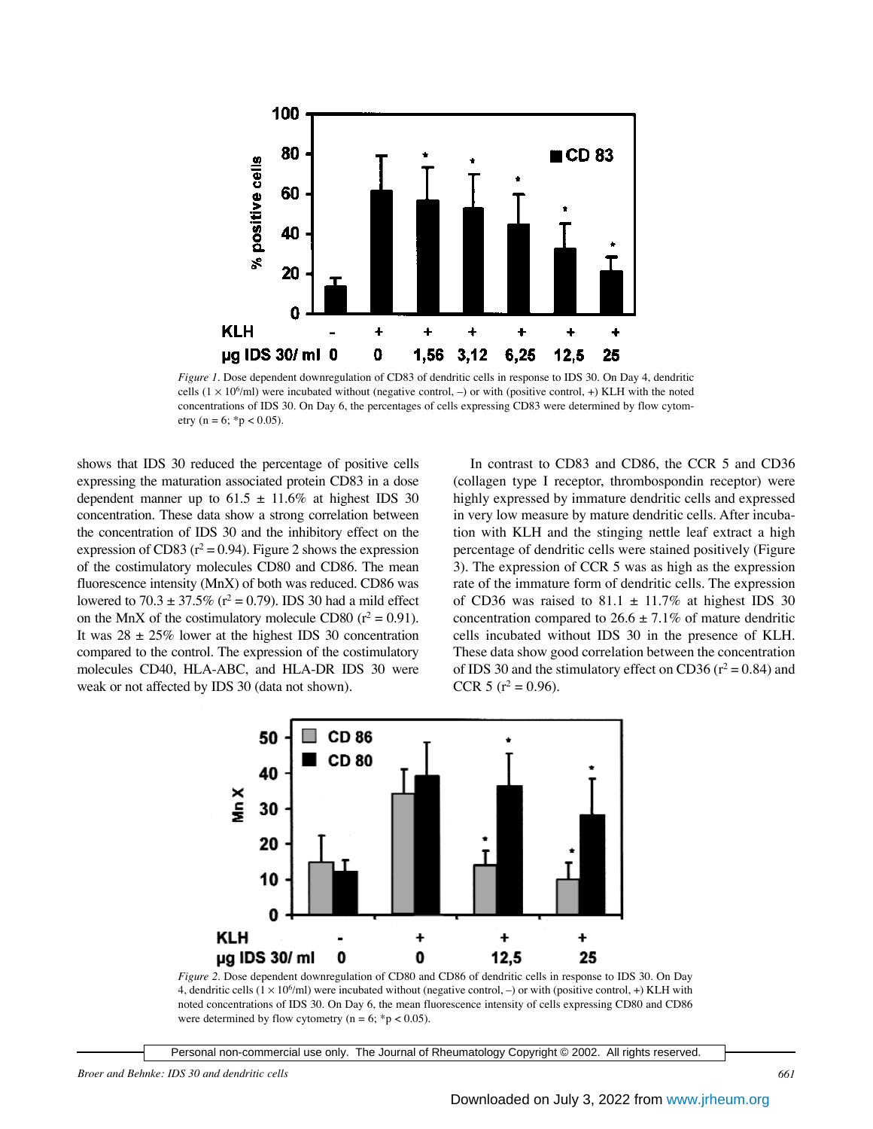

*Figure 1.* Dose dependent downregulation of CD83 of dendritic cells in response to IDS 30. On Day 4, dendritic cells  $(1 \times 10^6$ /ml) were incubated without (negative control,  $-$ ) or with (positive control,  $+$ ) KLH with the noted concentrations of IDS 30. On Day 6, the percentages of cells expressing CD83 were determined by flow cytometry ( $n = 6$ ; \* $p < 0.05$ ).

shows that IDS 30 reduced the percentage of positive cells expressing the maturation associated protein CD83 in a dose dependent manner up to  $61.5 \pm 11.6\%$  at highest IDS 30 concentration. These data show a strong correlation between the concentration of IDS 30 and the inhibitory effect on the expression of CD83 ( $r^2$  = 0.94). Figure 2 shows the expression of the costimulatory molecules CD80 and CD86. The mean fluorescence intensity (MnX) of both was reduced. CD86 was lowered to 70.3  $\pm$  37.5% (r<sup>2</sup> = 0.79). IDS 30 had a mild effect on the MnX of the costimulatory molecule CD80 ( $r^2 = 0.91$ ). It was  $28 \pm 25\%$  lower at the highest IDS 30 concentration compared to the control. The expression of the costimulatory molecules CD40, HLA-ABC, and HLA-DR IDS 30 were weak or not affected by IDS 30 (data not shown).

In contrast to CD83 and CD86, the CCR 5 and CD36 (collagen type I receptor, thrombospondin receptor) were highly expressed by immature dendritic cells and expressed in very low measure by mature dendritic cells. After incubation with KLH and the stinging nettle leaf extract a high percentage of dendritic cells were stained positively (Figure 3). The expression of CCR 5 was as high as the expression rate of the immature form of dendritic cells. The expression of CD36 was raised to 81.1  $\pm$  11.7% at highest IDS 30 concentration compared to  $26.6 \pm 7.1\%$  of mature dendritic cells incubated without IDS 30 in the presence of KLH. These data show good correlation between the concentration of IDS 30 and the stimulatory effect on CD36 ( $r^2 = 0.84$ ) and CCR 5 ( $r^2$  = 0.96).



*Figure 2.* Dose dependent downregulation of CD80 and CD86 of dendritic cells in response to IDS 30. On Day 4, dendritic cells  $(1 \times 10^6$ /ml) were incubated without (negative control, –) or with (positive control, +) KLH with noted concentrations of IDS 30. On Day 6, the mean fluorescence intensity of cells expressing CD80 and CD86 were determined by flow cytometry ( $n = 6$ ; \*p < 0.05).

Personal non-commercial use only. The Journal of Rheumatology Copyright © 2002. All rights reserved.

*Broer and Behnke: IDS 30 and dendritic cells 661*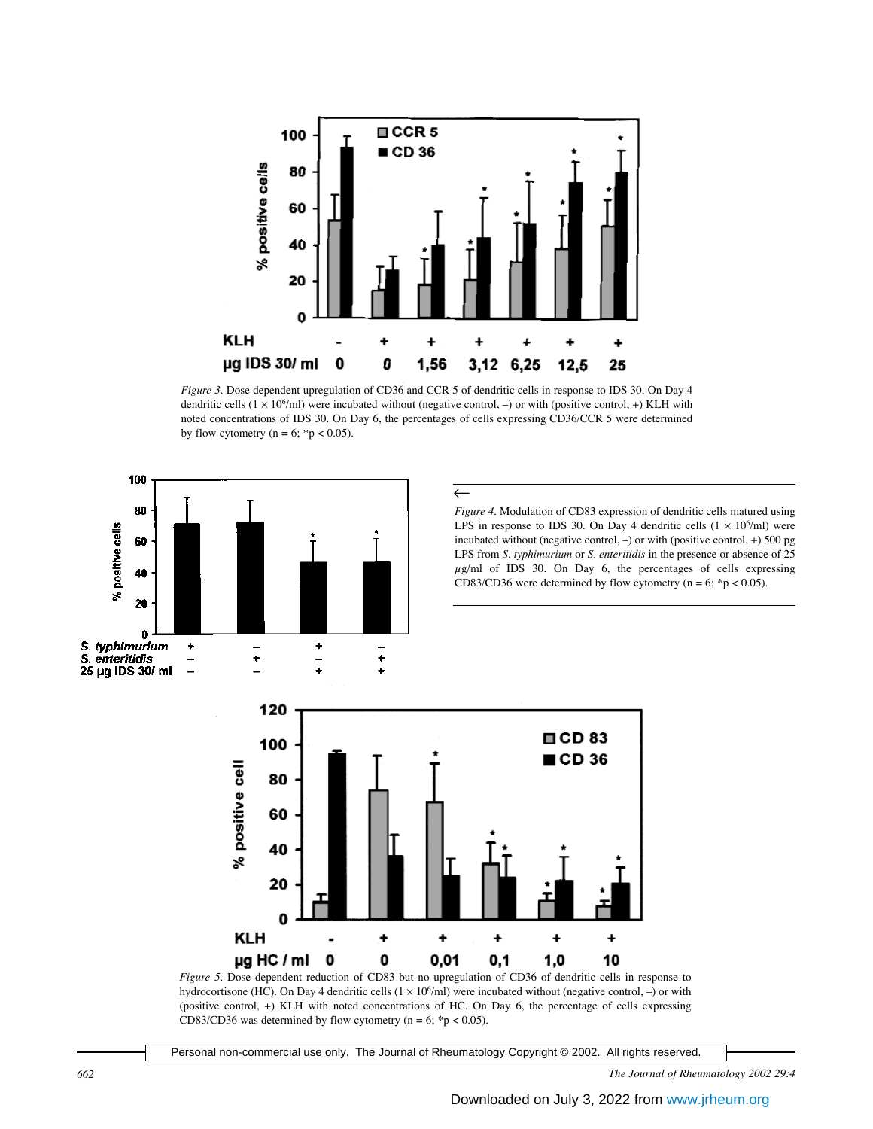

*Figure 3.* Dose dependent upregulation of CD36 and CCR 5 of dendritic cells in response to IDS 30. On Day 4 dendritic cells  $(1 \times 10^6$ /ml) were incubated without (negative control, -) or with (positive control, +) KLH with noted concentrations of IDS 30. On Day 6, the percentages of cells expressing CD36/CCR 5 were determined by flow cytometry ( $n = 6$ ; \*p < 0.05).



hydrocortisone (HC). On Day 4 dendritic cells  $(1 \times 10^6$ /ml) were incubated without (negative control, -) or with (positive control, +) KLH with noted concentrations of HC. On Day 6, the percentage of cells expressing CD83/CD36 was determined by flow cytometry ( $n = 6$ ; \*p < 0.05).

Personal non-commercial use only. The Journal of Rheumatology Copyright © 2002. All rights reserved.

*662 The Journal of Rheumatology 2002 29:4*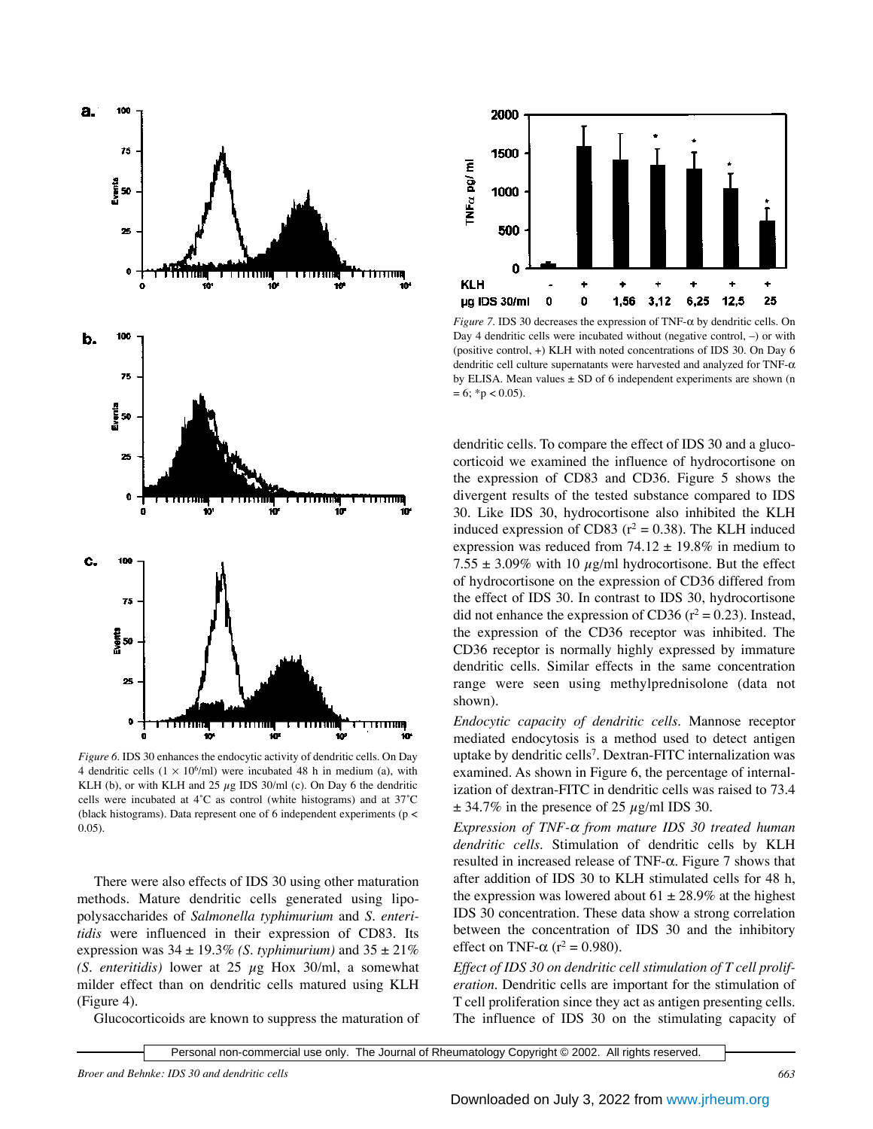

*Figure 6.* IDS 30 enhances the endocytic activity of dendritic cells. On Day 4 dendritic cells  $(1 \times 10^6/\text{ml})$  were incubated 48 h in medium (a), with KLH (b), or with KLH and 25  $\mu$ g IDS 30/ml (c). On Day 6 the dendritic cells were incubated at 4˚C as control (white histograms) and at 37˚C (black histograms). Data represent one of 6 independent experiments (p < 0.05).

There were also effects of IDS 30 using other maturation methods. Mature dendritic cells generated using lipopolysaccharides of *Salmonella typhimurium* and *S. enteritidis* were influenced in their expression of CD83. Its expression was  $34 \pm 19.3\%$  *(S. typhimurium)* and  $35 \pm 21\%$ *(S. enteritidis)* lower at 25 µg Hox 30/ml, a somewhat milder effect than on dendritic cells matured using KLH (Figure 4).

Glucocorticoids are known to suppress the maturation of



*Figure 7.* IDS 30 decreases the expression of TNF-α by dendritic cells. On Day 4 dendritic cells were incubated without (negative control, –) or with (positive control, +) KLH with noted concentrations of IDS 30. On Day 6 dendritic cell culture supernatants were harvested and analyzed for TNF- $\alpha$ by ELISA. Mean values  $\pm$  SD of 6 independent experiments are shown (n  $= 6$ ; \*p < 0.05).

dendritic cells. To compare the effect of IDS 30 and a glucocorticoid we examined the influence of hydrocortisone on the expression of CD83 and CD36. Figure 5 shows the divergent results of the tested substance compared to IDS 30. Like IDS 30, hydrocortisone also inhibited the KLH induced expression of CD83 ( $r^2 = 0.38$ ). The KLH induced expression was reduced from  $74.12 \pm 19.8\%$  in medium to 7.55  $\pm$  3.09% with 10  $\mu$ g/ml hydrocortisone. But the effect of hydrocortisone on the expression of CD36 differed from the effect of IDS 30. In contrast to IDS 30, hydrocortisone did not enhance the expression of CD36 ( $r^2 = 0.23$ ). Instead, the expression of the CD36 receptor was inhibited. The CD36 receptor is normally highly expressed by immature dendritic cells. Similar effects in the same concentration range were seen using methylprednisolone (data not shown).

*Endocytic capacity of dendritic cells.* Mannose receptor mediated endocytosis is a method used to detect antigen uptake by dendritic cells<sup>7</sup>. Dextran-FITC internalization was examined. As shown in Figure 6, the percentage of internalization of dextran-FITC in dendritic cells was raised to 73.4  $\pm$  34.7% in the presence of 25  $\mu$ g/ml IDS 30.

*Expression of TNF-*<sup>α</sup> *from mature IDS 30 treated human dendritic cells.* Stimulation of dendritic cells by KLH resulted in increased release of TNF-α. Figure 7 shows that after addition of IDS 30 to KLH stimulated cells for 48 h, the expression was lowered about  $61 \pm 28.9\%$  at the highest IDS 30 concentration. These data show a strong correlation between the concentration of IDS 30 and the inhibitory effect on TNF- $\alpha$  (r<sup>2</sup> = 0.980).

*Effect of IDS 30 on dendritic cell stimulation of T cell proliferation.* Dendritic cells are important for the stimulation of T cell proliferation since they act as antigen presenting cells. The influence of IDS 30 on the stimulating capacity of

Personal non-commercial use only. The Journal of Rheumatology Copyright © 2002. All rights reserved.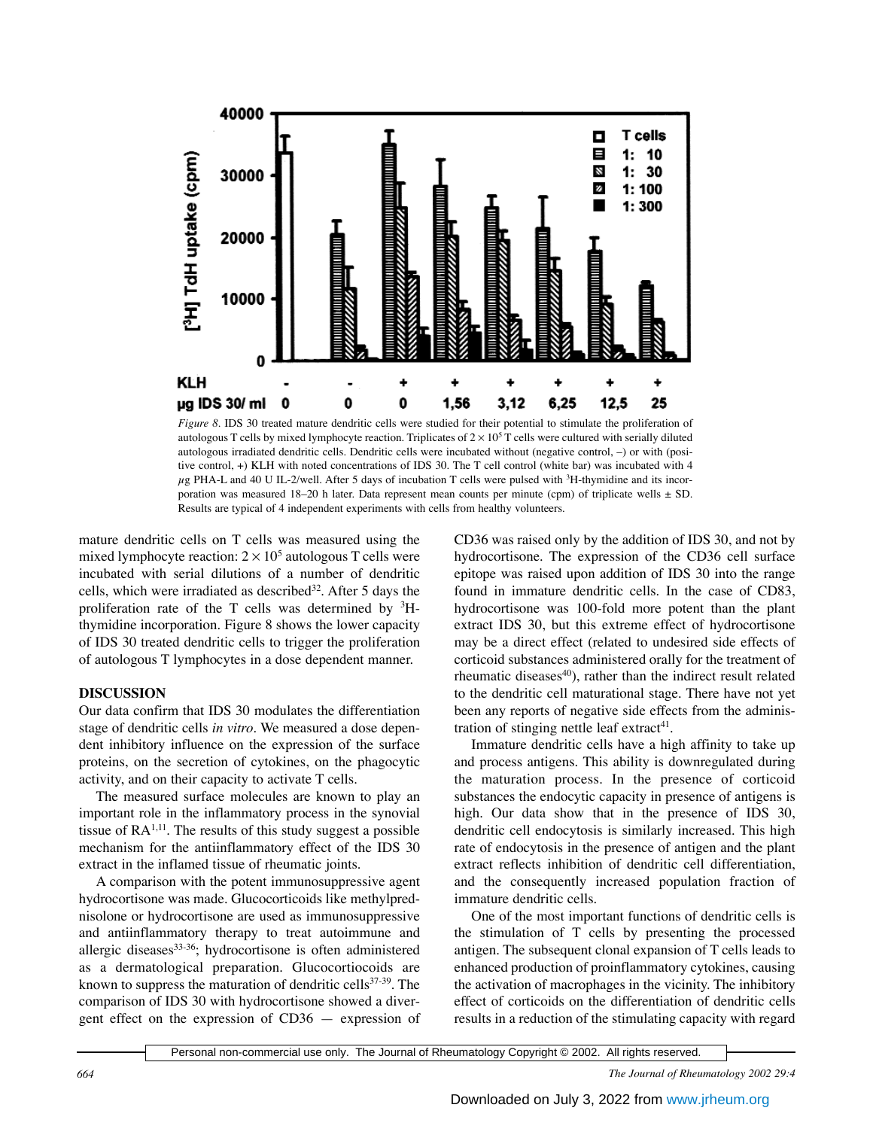

*Figure 8.* IDS 30 treated mature dendritic cells were studied for their potential to stimulate the proliferation of autologous T cells by mixed lymphocyte reaction. Triplicates of  $2 \times 10^5$  T cells were cultured with serially diluted autologous irradiated dendritic cells. Dendritic cells were incubated without (negative control, –) or with (positive control, +) KLH with noted concentrations of IDS 30. The T cell control (white bar) was incubated with 4  $\mu$ g PHA-L and 40 U IL-2/well. After 5 days of incubation T cells were pulsed with  ${}^{3}$ H-thymidine and its incorporation was measured 18–20 h later. Data represent mean counts per minute (cpm) of triplicate wells ± SD. Results are typical of 4 independent experiments with cells from healthy volunteers.

mature dendritic cells on T cells was measured using the mixed lymphocyte reaction:  $2 \times 10^5$  autologous T cells were incubated with serial dilutions of a number of dendritic cells, which were irradiated as described  $32$ . After 5 days the proliferation rate of the T cells was determined by  ${}^{3}$ Hthymidine incorporation. Figure 8 shows the lower capacity of IDS 30 treated dendritic cells to trigger the proliferation of autologous T lymphocytes in a dose dependent manner.

### **DISCUSSION**

Our data confirm that IDS 30 modulates the differentiation stage of dendritic cells *in vitro*. We measured a dose dependent inhibitory influence on the expression of the surface proteins, on the secretion of cytokines, on the phagocytic activity, and on their capacity to activate T cells.

The measured surface molecules are known to play an important role in the inflammatory process in the synovial tissue of  $RA<sup>1,11</sup>$ . The results of this study suggest a possible mechanism for the antiinflammatory effect of the IDS 30 extract in the inflamed tissue of rheumatic joints.

A comparison with the potent immunosuppressive agent hydrocortisone was made. Glucocorticoids like methylprednisolone or hydrocortisone are used as immunosuppressive and antiinflammatory therapy to treat autoimmune and allergic diseases $33-36$ ; hydrocortisone is often administered as a dermatological preparation. Glucocortiocoids are known to suppress the maturation of dendritic cells $37-39$ . The comparison of IDS 30 with hydrocortisone showed a divergent effect on the expression of CD36 — expression of CD36 was raised only by the addition of IDS 30, and not by hydrocortisone. The expression of the CD36 cell surface epitope was raised upon addition of IDS 30 into the range found in immature dendritic cells. In the case of CD83, hydrocortisone was 100-fold more potent than the plant extract IDS 30, but this extreme effect of hydrocortisone may be a direct effect (related to undesired side effects of corticoid substances administered orally for the treatment of rheumatic diseases $40$ , rather than the indirect result related to the dendritic cell maturational stage. There have not yet been any reports of negative side effects from the administration of stinging nettle leaf extract $41$ .

Immature dendritic cells have a high affinity to take up and process antigens. This ability is downregulated during the maturation process. In the presence of corticoid substances the endocytic capacity in presence of antigens is high. Our data show that in the presence of IDS 30, dendritic cell endocytosis is similarly increased. This high rate of endocytosis in the presence of antigen and the plant extract reflects inhibition of dendritic cell differentiation, and the consequently increased population fraction of immature dendritic cells.

One of the most important functions of dendritic cells is the stimulation of T cells by presenting the processed antigen. The subsequent clonal expansion of T cells leads to enhanced production of proinflammatory cytokines, causing the activation of macrophages in the vicinity. The inhibitory effect of corticoids on the differentiation of dendritic cells results in a reduction of the stimulating capacity with regard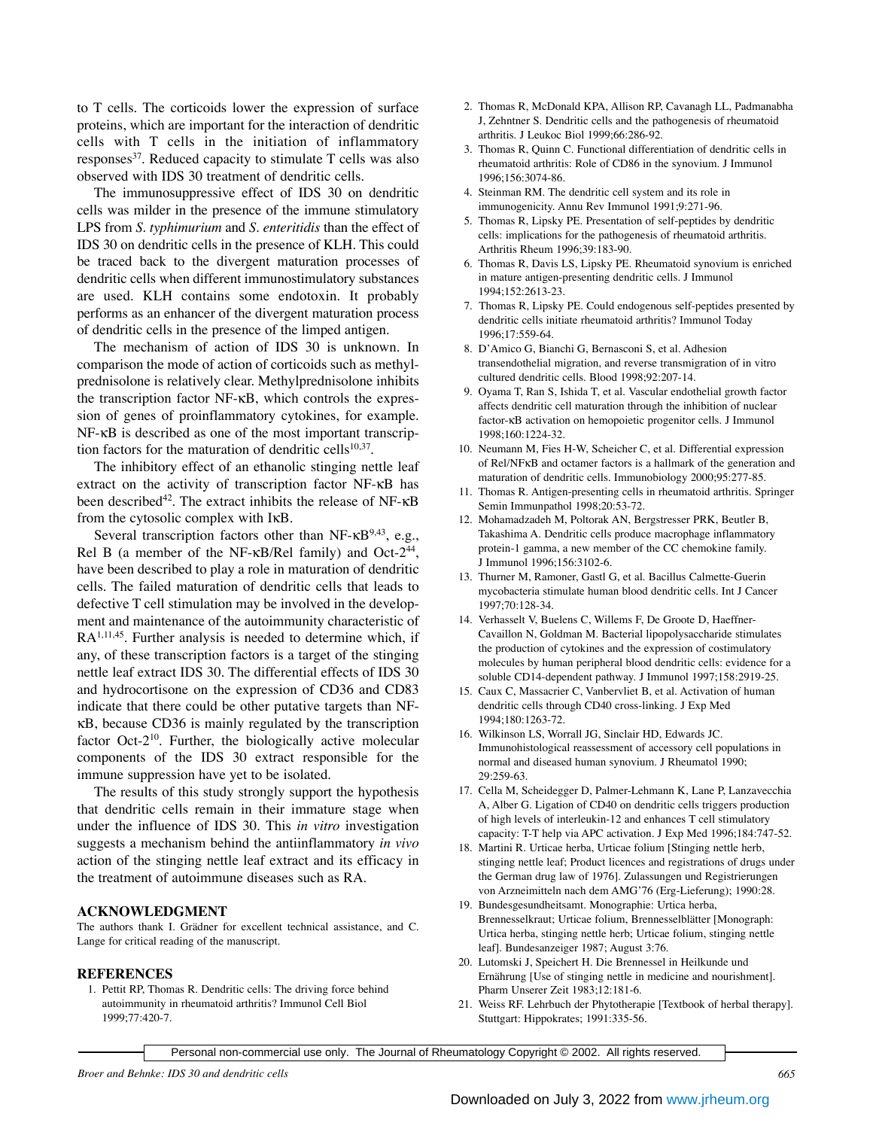to T cells. The corticoids lower the expression of surface proteins, which are important for the interaction of dendritic cells with T cells in the initiation of inflammatory responses $37$ . Reduced capacity to stimulate T cells was also observed with IDS 30 treatment of dendritic cells.

The immunosuppressive effect of IDS 30 on dendritic cells was milder in the presence of the immune stimulatory LPS from *S. typhimurium* and *S. enteritidis* than the effect of IDS 30 on dendritic cells in the presence of KLH. This could be traced back to the divergent maturation processes of dendritic cells when different immunostimulatory substances are used. KLH contains some endotoxin. It probably performs as an enhancer of the divergent maturation process of dendritic cells in the presence of the limped antigen.

The mechanism of action of IDS 30 is unknown. In comparison the mode of action of corticoids such as methylprednisolone is relatively clear. Methylprednisolone inhibits the transcription factor NF-κB, which controls the expression of genes of proinflammatory cytokines, for example. NF-κB is described as one of the most important transcription factors for the maturation of dendritic cells<sup>10,37</sup>.

The inhibitory effect of an ethanolic stinging nettle leaf extract on the activity of transcription factor NF-κB has been described<sup>42</sup>. The extract inhibits the release of NF-κB from the cytosolic complex with IκB.

Several transcription factors other than NF- $\kappa$ B<sup>9,43</sup>, e.g., Rel B (a member of the NF- $\kappa$ B/Rel family) and Oct-2<sup>44</sup>, have been described to play a role in maturation of dendritic cells. The failed maturation of dendritic cells that leads to defective T cell stimulation may be involved in the development and maintenance of the autoimmunity characteristic of RA1,11,45. Further analysis is needed to determine which, if any, of these transcription factors is a target of the stinging nettle leaf extract IDS 30. The differential effects of IDS 30 and hydrocortisone on the expression of CD36 and CD83 indicate that there could be other putative targets than NFκB, because CD36 is mainly regulated by the transcription factor Oct-210. Further, the biologically active molecular components of the IDS 30 extract responsible for the immune suppression have yet to be isolated.

The results of this study strongly support the hypothesis that dendritic cells remain in their immature stage when under the influence of IDS 30. This *in vitro* investigation suggests a mechanism behind the antiinflammatory *in vivo* action of the stinging nettle leaf extract and its efficacy in the treatment of autoimmune diseases such as RA.

#### **ACKNOWLEDGMENT**

The authors thank I. Grädner for excellent technical assistance, and C. Lange for critical reading of the manuscript.

#### **REFERENCES**

1. Pettit RP, Thomas R. Dendritic cells: The driving force behind autoimmunity in rheumatoid arthritis? Immunol Cell Biol 1999;77:420-7.

- 2. Thomas R, McDonald KPA, Allison RP, Cavanagh LL, Padmanabha J, Zehntner S. Dendritic cells and the pathogenesis of rheumatoid arthritis. J Leukoc Biol 1999;66:286-92.
- 3. Thomas R, Quinn C. Functional differentiation of dendritic cells in rheumatoid arthritis: Role of CD86 in the synovium. J Immunol 1996;156:3074-86.
- 4. Steinman RM. The dendritic cell system and its role in immunogenicity. Annu Rev Immunol 1991;9:271-96.
- 5. Thomas R, Lipsky PE. Presentation of self-peptides by dendritic cells: implications for the pathogenesis of rheumatoid arthritis. Arthritis Rheum 1996;39:183-90.
- 6. Thomas R, Davis LS, Lipsky PE. Rheumatoid synovium is enriched in mature antigen-presenting dendritic cells. J Immunol 1994;152:2613-23.
- 7. Thomas R, Lipsky PE. Could endogenous self-peptides presented by dendritic cells initiate rheumatoid arthritis? Immunol Today 1996;17:559-64.
- 8. D'Amico G, Bianchi G, Bernasconi S, et al. Adhesion transendothelial migration, and reverse transmigration of in vitro cultured dendritic cells. Blood 1998;92:207-14.
- 9. Oyama T, Ran S, Ishida T, et al. Vascular endothelial growth factor affects dendritic cell maturation through the inhibition of nuclear factor-κB activation on hemopoietic progenitor cells. J Immunol 1998;160:1224-32.
- 10. Neumann M, Fies H-W, Scheicher C, et al. Differential expression of Rel/NFκB and octamer factors is a hallmark of the generation and maturation of dendritic cells. Immunobiology 2000;95:277-85.
- 11. Thomas R. Antigen-presenting cells in rheumatoid arthritis. Springer Semin Immunpathol 1998;20:53-72.
- 12. Mohamadzadeh M, Poltorak AN, Bergstresser PRK, Beutler B, Takashima A. Dendritic cells produce macrophage inflammatory protein-1 gamma, a new member of the CC chemokine family. J Immunol 1996;156:3102-6.
- 13. Thurner M, Ramoner, Gastl G, et al. Bacillus Calmette-Guerin mycobacteria stimulate human blood dendritic cells. Int J Cancer 1997;70:128-34.
- 14. Verhasselt V, Buelens C, Willems F, De Groote D, Haeffner-Cavaillon N, Goldman M. Bacterial lipopolysaccharide stimulates the production of cytokines and the expression of costimulatory molecules by human peripheral blood dendritic cells: evidence for a soluble CD14-dependent pathway. J Immunol 1997;158:2919-25.
- 15. Caux C, Massacrier C, Vanbervliet B, et al. Activation of human dendritic cells through CD40 cross-linking. J Exp Med 1994;180:1263-72.
- 16. Wilkinson LS, Worrall JG, Sinclair HD, Edwards JC. Immunohistological reassessment of accessory cell populations in normal and diseased human synovium. J Rheumatol 1990; 29:259-63.
- 17. Cella M, Scheidegger D, Palmer-Lehmann K, Lane P, Lanzavecchia A, Alber G. Ligation of CD40 on dendritic cells triggers production of high levels of interleukin-12 and enhances T cell stimulatory capacity: T-T help via APC activation. J Exp Med 1996;184:747-52.
- 18. Martini R. Urticae herba, Urticae folium [Stinging nettle herb, stinging nettle leaf; Product licences and registrations of drugs under the German drug law of 1976]. Zulassungen und Registrierungen von Arzneimitteln nach dem AMG'76 (Erg-Lieferung); 1990:28.
- 19. Bundesgesundheitsamt. Monographie: Urtica herba, Brennesselkraut; Urticae folium, Brennesselblätter [Monograph: Urtica herba, stinging nettle herb; Urticae folium, stinging nettle leaf]. Bundesanzeiger 1987; August 3:76.
- 20. Lutomski J, Speichert H. Die Brennessel in Heilkunde und Ernährung [Use of stinging nettle in medicine and nourishment]. Pharm Unserer Zeit 1983;12:181-6.
- 21. Weiss RF. Lehrbuch der Phytotherapie [Textbook of herbal therapy]. Stuttgart: Hippokrates; 1991:335-56.

Personal non-commercial use only. The Journal of Rheumatology Copyright © 2002. All rights reserved.

*Broer and Behnke: IDS 30 and dendritic cells 665*